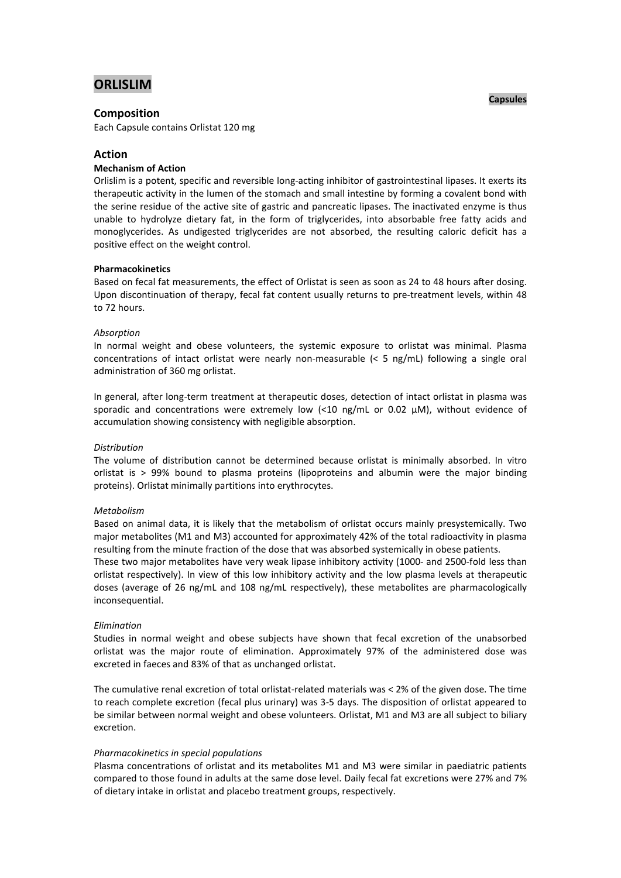# **ORLISLIM**

### **Composition**

Each Capsule contains Orlistat 120 mg

# **Action**

### **Mechanism of Action**

Orlislim is a potent, specific and reversible long-acting inhibitor of gastrointestinal lipases. It exerts its therapeutic activity in the lumen of the stomach and small intestine by forming a covalent bond with the serine residue of the active site of gastric and pancreatic lipases. The inactivated enzyme is thus unable to hydrolyze dietary fat, in the form of triglycerides, into absorbable free fatty acids and monoglycerides. As undigested triglycerides are not absorbed, the resulting caloric deficit has a positive effect on the weight control.

### **Pharmacokinetics**

Based on fecal fat measurements, the effect of Orlistat is seen as soon as 24 to 48 hours after dosing. Upon discontinuation of therapy, fecal fat content usually returns to pre-treatment levels, within 48 to 72 hours.

### *Absorption*

In normal weight and obese volunteers, the systemic exposure to orlistat was minimal. Plasma concentrations of intact orlistat were nearly non-measurable (< 5 ng/mL) following a single oral administration of 360 mg orlistat.

In general, after long-term treatment at therapeutic doses, detection of intact orlistat in plasma was sporadic and concentrations were extremely low  $\langle$ <10 ng/mL or 0.02  $\mu$ M), without evidence of accumulation showing consistency with negligible absorption.

#### *Distribution*

The volume of distribution cannot be determined because orlistat is minimally absorbed. In vitro orlistat is > 99% bound to plasma proteins (lipoproteins and albumin were the major binding proteins). Orlistat minimally partitions into erythrocytes.

#### *Metabolism*

Based on animal data, it is likely that the metabolism of orlistat occurs mainly presystemically. Two major metabolites (M1 and M3) accounted for approximately 42% of the total radioactivity in plasma resulting from the minute fraction of the dose that was absorbed systemically in obese patients.

These two major metabolites have very weak lipase inhibitory activity (1000- and 2500-fold less than orlistat respectively). In view of this low inhibitory activity and the low plasma levels at therapeutic doses (average of 26 ng/mL and 108 ng/mL respectively), these metabolites are pharmacologically inconsequential.

#### *Elimination*

Studies in normal weight and obese subjects have shown that fecal excretion of the unabsorbed orlistat was the major route of elimination. Approximately 97% of the administered dose was excreted in faeces and 83% of that as unchanged orlistat.

The cumulative renal excretion of total orlistat-related materials was  $<$  2% of the given dose. The time to reach complete excretion (fecal plus urinary) was 3-5 days. The disposition of orlistat appeared to be similar between normal weight and obese volunteers. Orlistat, M1 and M3 are all subject to biliary excretion.

### *Pharmacokinetics in special populations*

Plasma concentrations of orlistat and its metabolites M1 and M3 were similar in paediatric patients compared to those found in adults at the same dose level. Daily fecal fat excretions were 27% and 7% of dietary intake in orlistat and placebo treatment groups, respectively.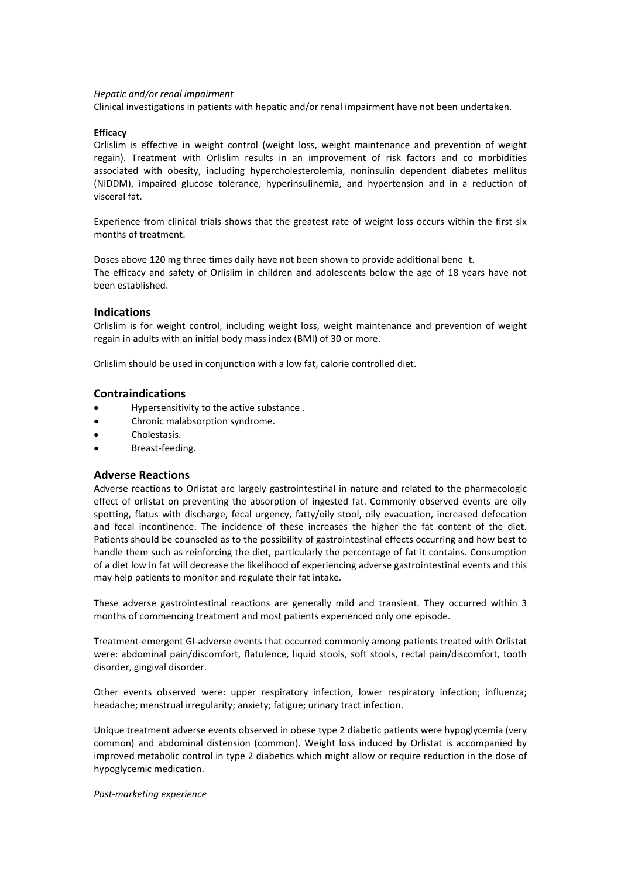#### *Hepatic and/or renal impairment*

Clinical investigations in patients with hepatic and/or renal impairment have not been undertaken.

#### **Efficacy**

Orlislim is effective in weight control (weight loss, weight maintenance and prevention of weight regain). Treatment with Orlislim results in an improvement of risk factors and co morbidities associated with obesity, including hypercholesterolemia, noninsulin dependent diabetes mellitus (NIDDM), impaired glucose tolerance, hyperinsulinemia, and hypertension and in a reduction of visceral fat.

Experience from clinical trials shows that the greatest rate of weight loss occurs within the first six months of treatment.

Doses above 120 mg three times daily have not been shown to provide additional bene t. The efficacy and safety of Orlislim in children and adolescents below the age of 18 years have not been established.

### **Indications**

Orlislim is for weight control, including weight loss, weight maintenance and prevention of weight regain in adults with an initial body mass index (BMI) of 30 or more.

Orlislim should be used in conjunction with a low fat, calorie controlled diet.

### **Contraindications**

- Hypersensitivity to the active substance .
- Chronic malabsorption syndrome.
- Cholestasis.
- Breast-feeding.

### **Adverse Reactions**

Adverse reactions to Orlistat are largely gastrointestinal in nature and related to the pharmacologic effect of orlistat on preventing the absorption of ingested fat. Commonly observed events are oily spotting, flatus with discharge, fecal urgency, fatty/oily stool, oily evacuation, increased defecation and fecal incontinence. The incidence of these increases the higher the fat content of the diet. Patients should be counseled as to the possibility of gastrointestinal effects occurring and how best to handle them such as reinforcing the diet, particularly the percentage of fat it contains. Consumption of a diet low in fat will decrease the likelihood of experiencing adverse gastrointestinal events and this may help patients to monitor and regulate their fat intake.

These adverse gastrointestinal reactions are generally mild and transient. They occurred within 3 months of commencing treatment and most patients experienced only one episode.

Treatment-emergent GI-adverse events that occurred commonly among patients treated with Orlistat were: abdominal pain/discomfort, flatulence, liquid stools, soft stools, rectal pain/discomfort, tooth disorder, gingival disorder.

Other events observed were: upper respiratory infection, lower respiratory infection; influenza; headache; menstrual irregularity; anxiety; fatigue; urinary tract infection.

Unique treatment adverse events observed in obese type 2 diabetic patients were hypoglycemia (very common) and abdominal distension (common). Weight loss induced by Orlistat is accompanied by improved metabolic control in type 2 diabetics which might allow or require reduction in the dose of hypoglycemic medication.

*Post-marketing experience*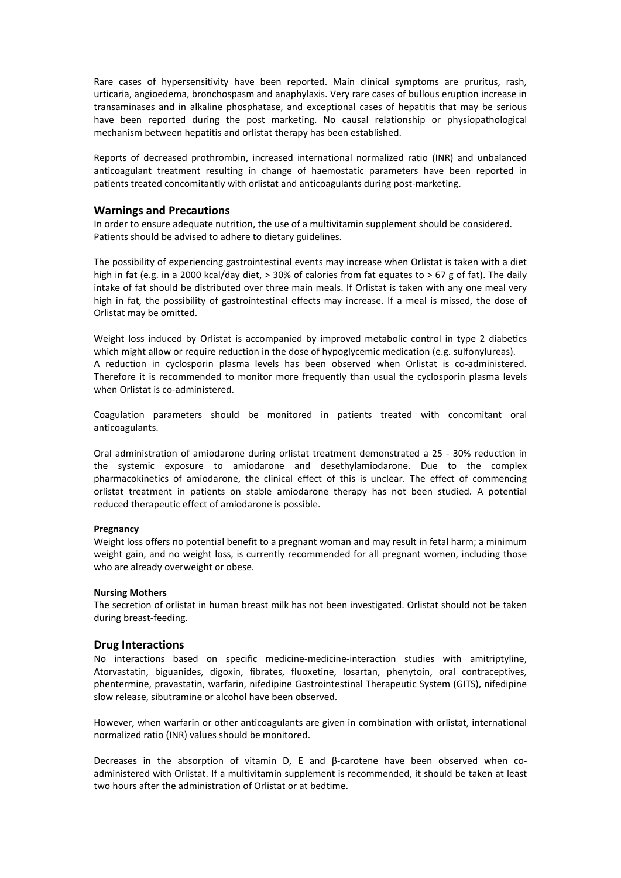Rare cases of hypersensitivity have been reported. Main clinical symptoms are pruritus, rash, urticaria, angioedema, bronchospasm and anaphylaxis. Very rare cases of bullous eruption increase in transaminases and in alkaline phosphatase, and exceptional cases of hepatitis that may be serious have been reported during the post marketing. No causal relationship or physiopathological mechanism between hepatitis and orlistat therapy has been established.

Reports of decreased prothrombin, increased international normalized ratio (INR) and unbalanced anticoagulant treatment resulting in change of haemostatic parameters have been reported in patients treated concomitantly with orlistat and anticoagulants during post-marketing.

### **Warnings and Precautions**

In order to ensure adequate nutrition, the use of a multivitamin supplement should be considered. Patients should be advised to adhere to dietary guidelines.

The possibility of experiencing gastrointestinal events may increase when Orlistat is taken with a diet high in fat (e.g. in a 2000 kcal/day diet, > 30% of calories from fat equates to > 67 g of fat). The daily intake of fat should be distributed over three main meals. If Orlistat is taken with any one meal very high in fat, the possibility of gastrointestinal effects may increase. If a meal is missed, the dose of Orlistat may be omitted.

Weight loss induced by Orlistat is accompanied by improved metabolic control in type 2 diabetics which might allow or require reduction in the dose of hypoglycemic medication (e.g. sulfonylureas). A reduction in cyclosporin plasma levels has been observed when Orlistat is co-administered. Therefore it is recommended to monitor more frequently than usual the cyclosporin plasma levels when Orlistat is co-administered.

Coagulation parameters should be monitored in patients treated with concomitant oral anticoagulants.

Oral administration of amiodarone during orlistat treatment demonstrated a 25 - 30% reduction in the systemic exposure to amiodarone and desethylamiodarone. Due to the complex pharmacokinetics of amiodarone, the clinical effect of this is unclear. The effect of commencing orlistat treatment in patients on stable amiodarone therapy has not been studied. A potential reduced therapeutic effect of amiodarone is possible.

#### **Pregnancy**

Weight loss offers no potential benefit to a pregnant woman and may result in fetal harm; a minimum weight gain, and no weight loss, is currently recommended for all pregnant women, including those who are already overweight or obese.

#### **Nursing Mothers**

The secretion of orlistat in human breast milk has not been investigated. Orlistat should not be taken during breast-feeding.

### **Drug Interactions**

No interactions based on specific medicine-medicine-interaction studies with amitriptyline, Atorvastatin, biguanides, digoxin, fibrates, fluoxetine, losartan, phenytoin, oral contraceptives, phentermine, pravastatin, warfarin, nifedipine Gastrointestinal Therapeutic System (GITS), nifedipine slow release, sibutramine or alcohol have been observed.

However, when warfarin or other anticoagulants are given in combination with orlistat, international normalized ratio (INR) values should be monitored.

Decreases in the absorption of vitamin D, E and β-carotene have been observed when coadministered with Orlistat. If a multivitamin supplement is recommended, it should be taken at least two hours after the administration of Orlistat or at bedtime.